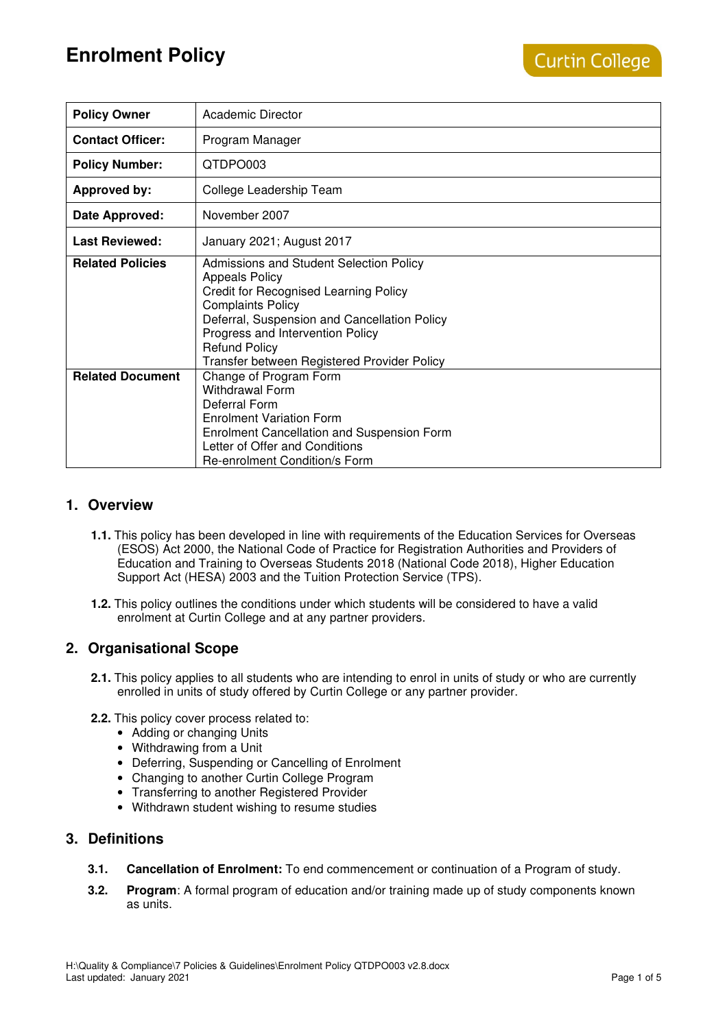| <b>Policy Owner</b>     | Academic Director                                                                                                                                                                                                                                                                                       |
|-------------------------|---------------------------------------------------------------------------------------------------------------------------------------------------------------------------------------------------------------------------------------------------------------------------------------------------------|
| <b>Contact Officer:</b> | Program Manager                                                                                                                                                                                                                                                                                         |
| <b>Policy Number:</b>   | QTDPO003                                                                                                                                                                                                                                                                                                |
| <b>Approved by:</b>     | College Leadership Team                                                                                                                                                                                                                                                                                 |
| Date Approved:          | November 2007                                                                                                                                                                                                                                                                                           |
| <b>Last Reviewed:</b>   | January 2021; August 2017                                                                                                                                                                                                                                                                               |
| <b>Related Policies</b> | Admissions and Student Selection Policy<br><b>Appeals Policy</b><br><b>Credit for Recognised Learning Policy</b><br><b>Complaints Policy</b><br>Deferral, Suspension and Cancellation Policy<br>Progress and Intervention Policy<br><b>Refund Policy</b><br>Transfer between Registered Provider Policy |
| <b>Related Document</b> | Change of Program Form<br><b>Withdrawal Form</b><br>Deferral Form<br><b>Enrolment Variation Form</b><br><b>Enrolment Cancellation and Suspension Form</b><br>Letter of Offer and Conditions<br>Re-enrolment Condition/s Form                                                                            |

#### **1. Overview**

- **1.1.** This policy has been developed in line with requirements of the Education Services for Overseas (ESOS) Act 2000, the National Code of Practice for Registration Authorities and Providers of Education and Training to Overseas Students 2018 (National Code 2018), Higher Education Support Act (HESA) 2003 and the Tuition Protection Service (TPS).
- **1.2.** This policy outlines the conditions under which students will be considered to have a valid enrolment at Curtin College and at any partner providers.

## **2. Organisational Scope**

- **2.1.** This policy applies to all students who are intending to enrol in units of study or who are currently enrolled in units of study offered by Curtin College or any partner provider.
- **2.2.** This policy cover process related to:
	- Adding or changing Units
	- Withdrawing from a Unit
	- Deferring, Suspending or Cancelling of Enrolment
	- Changing to another Curtin College Program
	- Transferring to another Registered Provider
	- Withdrawn student wishing to resume studies

#### **3. Definitions**

- **3.1. Cancellation of Enrolment:** To end commencement or continuation of a Program of study.
- **3.2. Program**: A formal program of education and/or training made up of study components known as units.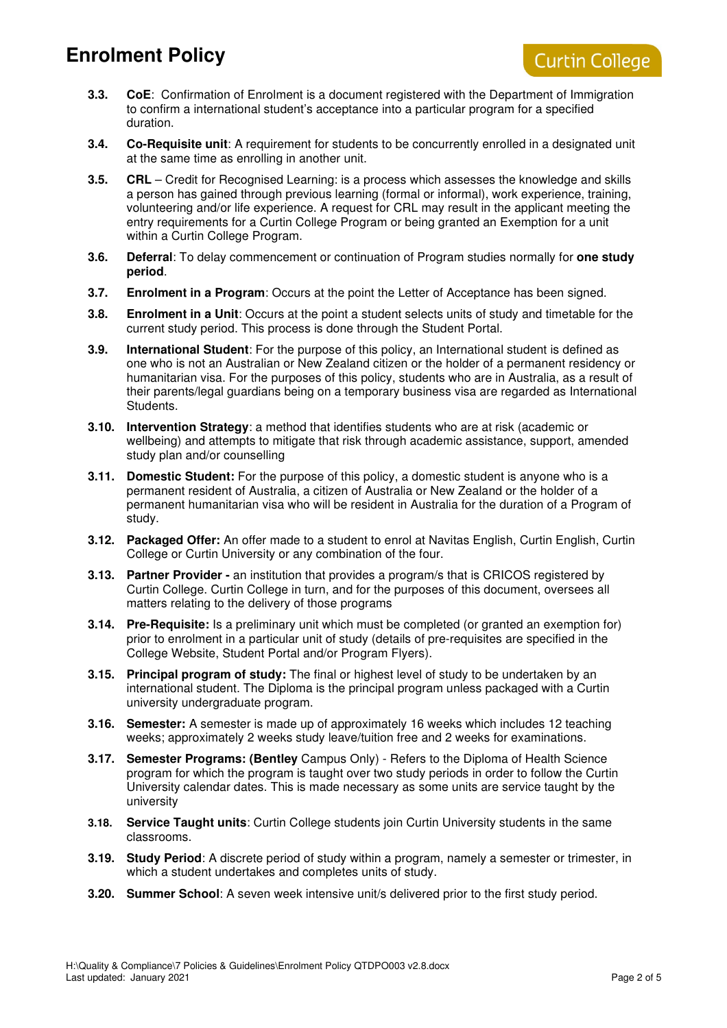- **3.3. CoE**: Confirmation of Enrolment is a document registered with the Department of Immigration to confirm a international student's acceptance into a particular program for a specified duration.
- **3.4. Co-Requisite unit**: A requirement for students to be concurrently enrolled in a designated unit at the same time as enrolling in another unit.
- **3.5. CRL** Credit for Recognised Learning: is a process which assesses the knowledge and skills a person has gained through previous learning (formal or informal), work experience, training, volunteering and/or life experience. A request for CRL may result in the applicant meeting the entry requirements for a Curtin College Program or being granted an Exemption for a unit within a Curtin College Program.
- **3.6. Deferral**: To delay commencement or continuation of Program studies normally for **one study period**.
- **3.7. Enrolment in a Program**: Occurs at the point the Letter of Acceptance has been signed.
- **3.8. Enrolment in a Unit**: Occurs at the point a student selects units of study and timetable for the current study period. This process is done through the Student Portal.
- **3.9. International Student**: For the purpose of this policy, an International student is defined as one who is not an Australian or New Zealand citizen or the holder of a permanent residency or humanitarian visa. For the purposes of this policy, students who are in Australia, as a result of their parents/legal guardians being on a temporary business visa are regarded as International Students.
- **3.10. Intervention Strategy**: a method that identifies students who are at risk (academic or wellbeing) and attempts to mitigate that risk through academic assistance, support, amended study plan and/or counselling
- **3.11. Domestic Student:** For the purpose of this policy, a domestic student is anyone who is a permanent resident of Australia, a citizen of Australia or New Zealand or the holder of a permanent humanitarian visa who will be resident in Australia for the duration of a Program of study.
- **3.12. Packaged Offer:** An offer made to a student to enrol at Navitas English, Curtin English, Curtin College or Curtin University or any combination of the four.
- **3.13. Partner Provider** an institution that provides a program/s that is CRICOS registered by Curtin College. Curtin College in turn, and for the purposes of this document, oversees all matters relating to the delivery of those programs
- **3.14. Pre-Requisite:** Is a preliminary unit which must be completed (or granted an exemption for) prior to enrolment in a particular unit of study (details of pre-requisites are specified in the College Website, Student Portal and/or Program Flyers).
- **3.15. Principal program of study:** The final or highest level of study to be undertaken by an international student. The Diploma is the principal program unless packaged with a Curtin university undergraduate program.
- **3.16. Semester:** A semester is made up of approximately 16 weeks which includes 12 teaching weeks; approximately 2 weeks study leave/tuition free and 2 weeks for examinations.
- **3.17. Semester Programs: (Bentley** Campus Only) Refers to the Diploma of Health Science program for which the program is taught over two study periods in order to follow the Curtin University calendar dates. This is made necessary as some units are service taught by the university
- **3.18. Service Taught units**: Curtin College students join Curtin University students in the same classrooms.
- **3.19.** Study Period: A discrete period of study within a program, namely a semester or trimester, in which a student undertakes and completes units of study.
- **3.20. Summer School**: A seven week intensive unit/s delivered prior to the first study period.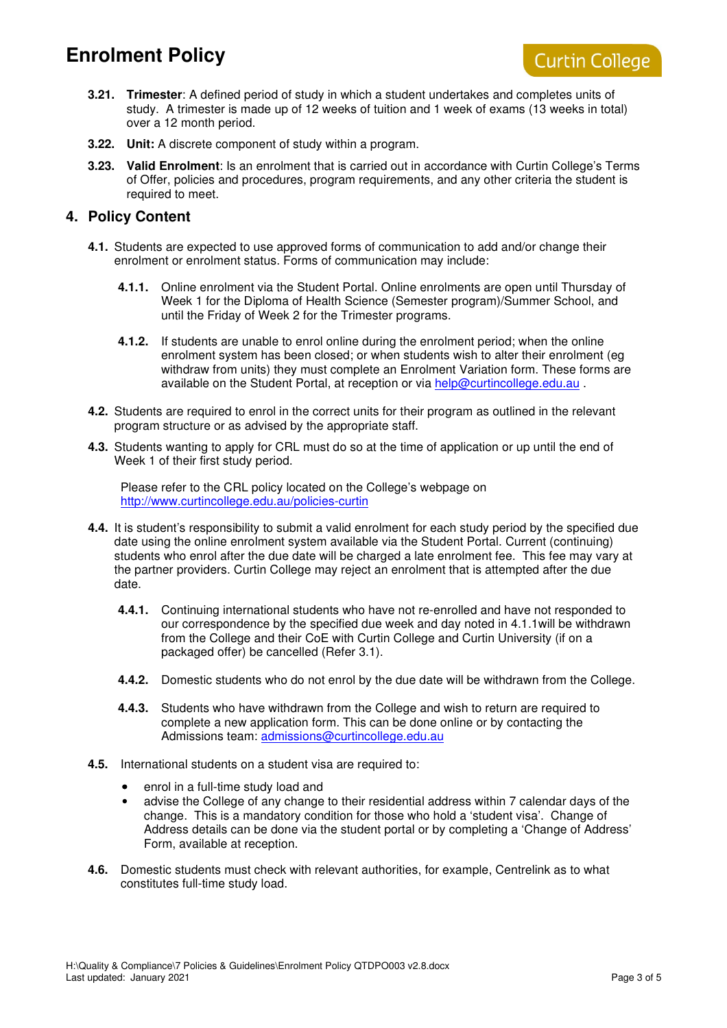- **3.21. Trimester**: A defined period of study in which a student undertakes and completes units of study. A trimester is made up of 12 weeks of tuition and 1 week of exams (13 weeks in total) over a 12 month period.
- **3.22. Unit:** A discrete component of study within a program.
- **3.23. Valid Enrolment**: Is an enrolment that is carried out in accordance with Curtin College's Terms of Offer, policies and procedures, program requirements, and any other criteria the student is required to meet.

### **4. Policy Content**

- **4.1.** Students are expected to use approved forms of communication to add and/or change their enrolment or enrolment status. Forms of communication may include:
	- **4.1.1.** Online enrolment via the Student Portal. Online enrolments are open until Thursday of Week 1 for the Diploma of Health Science (Semester program)/Summer School, and until the Friday of Week 2 for the Trimester programs.
	- **4.1.2.** If students are unable to enrol online during the enrolment period; when the online enrolment system has been closed; or when students wish to alter their enrolment (eg withdraw from units) they must complete an Enrolment Variation form. These forms are available on the Student Portal, at reception or via help@curtincollege.edu.au .
- **4.2.** Students are required to enrol in the correct units for their program as outlined in the relevant program structure or as advised by the appropriate staff.
- **4.3.** Students wanting to apply for CRL must do so at the time of application or up until the end of Week 1 of their first study period.

Please refer to the CRL policy located on the College's webpage on http://www.curtincollege.edu.au/policies-curtin

- **4.4.** It is student's responsibility to submit a valid enrolment for each study period by the specified due date using the online enrolment system available via the Student Portal. Current (continuing) students who enrol after the due date will be charged a late enrolment fee. This fee may vary at the partner providers. Curtin College may reject an enrolment that is attempted after the due date.
	- **4.4.1.** Continuing international students who have not re-enrolled and have not responded to our correspondence by the specified due week and day noted in 4.1.1will be withdrawn from the College and their CoE with Curtin College and Curtin University (if on a packaged offer) be cancelled (Refer 3.1).
	- **4.4.2.** Domestic students who do not enrol by the due date will be withdrawn from the College.
	- **4.4.3.** Students who have withdrawn from the College and wish to return are required to complete a new application form. This can be done online or by contacting the Admissions team: admissions@curtincollege.edu.au
- **4.5.** International students on a student visa are required to:
	- enrol in a full-time study load and
	- advise the College of any change to their residential address within 7 calendar days of the change. This is a mandatory condition for those who hold a 'student visa'. Change of Address details can be done via the student portal or by completing a 'Change of Address' Form, available at reception.
- **4.6.** Domestic students must check with relevant authorities, for example, Centrelink as to what constitutes full-time study load.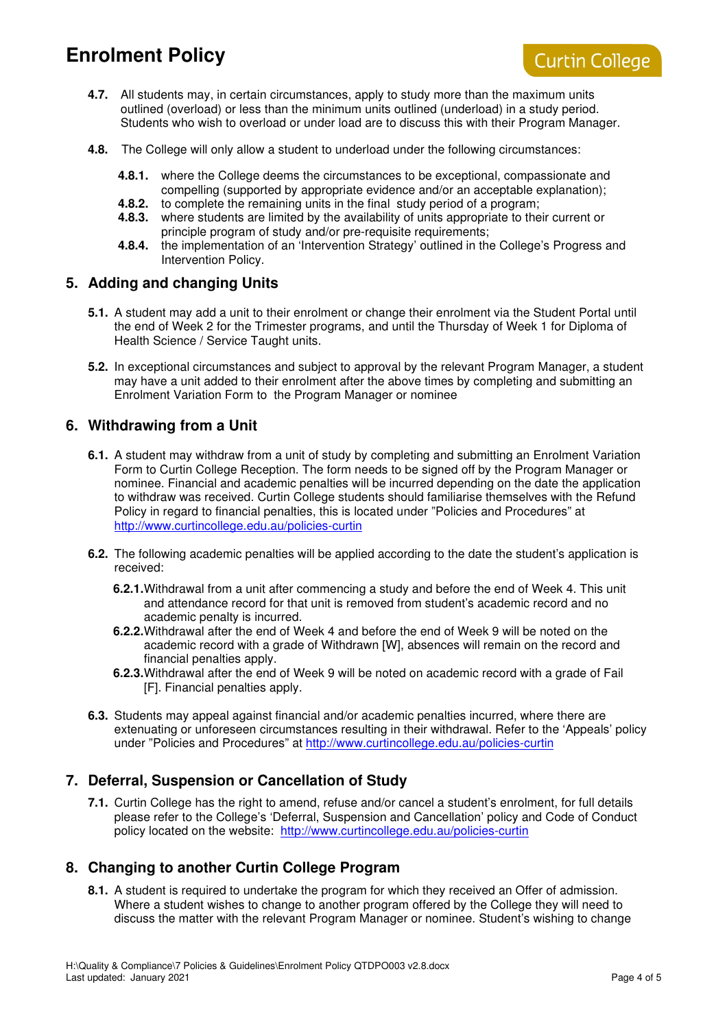

- **4.7.** All students may, in certain circumstances, apply to study more than the maximum units outlined (overload) or less than the minimum units outlined (underload) in a study period. Students who wish to overload or under load are to discuss this with their Program Manager.
- **4.8.** The College will only allow a student to underload under the following circumstances:
	- **4.8.1.** where the College deems the circumstances to be exceptional, compassionate and compelling (supported by appropriate evidence and/or an acceptable explanation);
	- **4.8.2.** to complete the remaining units in the final study period of a program;
	- **4.8.3.** where students are limited by the availability of units appropriate to their current or principle program of study and/or pre-requisite requirements;
	- **4.8.4.** the implementation of an 'Intervention Strategy' outlined in the College's Progress and Intervention Policy.

#### **5. Adding and changing Units**

- **5.1.** A student may add a unit to their enrolment or change their enrolment via the Student Portal until the end of Week 2 for the Trimester programs, and until the Thursday of Week 1 for Diploma of Health Science / Service Taught units.
- **5.2.** In exceptional circumstances and subject to approval by the relevant Program Manager, a student may have a unit added to their enrolment after the above times by completing and submitting an Enrolment Variation Form to the Program Manager or nominee

#### **6. Withdrawing from a Unit**

- **6.1.** A student may withdraw from a unit of study by completing and submitting an Enrolment Variation Form to Curtin College Reception. The form needs to be signed off by the Program Manager or nominee. Financial and academic penalties will be incurred depending on the date the application to withdraw was received. Curtin College students should familiarise themselves with the Refund Policy in regard to financial penalties, this is located under "Policies and Procedures" at http://www.curtincollege.edu.au/policies-curtin
- **6.2.** The following academic penalties will be applied according to the date the student's application is received:
	- **6.2.1.** Withdrawal from a unit after commencing a study and before the end of Week 4. This unit and attendance record for that unit is removed from student's academic record and no academic penalty is incurred.
	- **6.2.2.** Withdrawal after the end of Week 4 and before the end of Week 9 will be noted on the academic record with a grade of Withdrawn [W], absences will remain on the record and financial penalties apply.
	- **6.2.3.** Withdrawal after the end of Week 9 will be noted on academic record with a grade of Fail [F]. Financial penalties apply.
- **6.3.** Students may appeal against financial and/or academic penalties incurred, where there are extenuating or unforeseen circumstances resulting in their withdrawal. Refer to the 'Appeals' policy under "Policies and Procedures" at http://www.curtincollege.edu.au/policies-curtin

## **7. Deferral, Suspension or Cancellation of Study**

**7.1.** Curtin College has the right to amend, refuse and/or cancel a student's enrolment, for full details please refer to the College's 'Deferral, Suspension and Cancellation' policy and Code of Conduct policy located on the website: http://www.curtincollege.edu.au/policies-curtin

## **8. Changing to another Curtin College Program**

**8.1.** A student is required to undertake the program for which they received an Offer of admission. Where a student wishes to change to another program offered by the College they will need to discuss the matter with the relevant Program Manager or nominee. Student's wishing to change